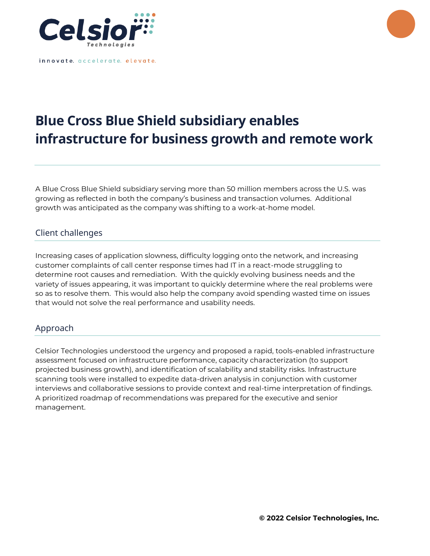

innovate. accelerate. elevate.

## **Blue Cross Blue Shield subsidiary enables infrastructure for business growth and remote work**

A Blue Cross Blue Shield subsidiary serving more than 50 million members across the U.S. was growing as reflected in both the company's business and transaction volumes. Additional growth was anticipated as the company was shifting to a work-at-home model.

## Client challenges

Increasing cases of application slowness, difficulty logging onto the network, and increasing customer complaints of call center response times had IT in a react-mode struggling to determine root causes and remediation. With the quickly evolving business needs and the variety of issues appearing, it was important to quickly determine where the real problems were so as to resolve them. This would also help the company avoid spending wasted time on issues that would not solve the real performance and usability needs.

## Approach

Celsior Technologies understood the urgency and proposed a rapid, tools-enabled infrastructure assessment focused on infrastructure performance, capacity characterization (to support projected business growth), and identification of scalability and stability risks. Infrastructure scanning tools were installed to expedite data-driven analysis in conjunction with customer interviews and collaborative sessions to provide context and real-time interpretation of findings. A prioritized roadmap of recommendations was prepared for the executive and senior management.